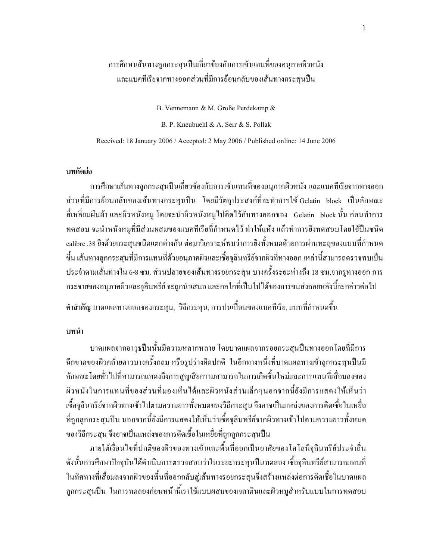# ิ การศึกษาเส้นทางลูกกระสุนปืนเกี่ยวข้องกับการเข้าแทนที่ของอนุภาคผิวหนัง และแบคทีเรียจากทางออกส่วนที่มีการย้อนกลับของเส้นทางกระสุนปืน

B. Vennemann & M. Große Perdekamp &

B. P. Kneubuehl & A. Serr & S. Pollak

Received: 18 January 2006 / Accepted: 2 May 2006 / Published online: 14 June 2006

### ำเทคัดย่อ

ึการศึกษาเส้นทางลูกกระสุนปืนเกี่ยวข้องกับการเข้าแทนที่ของอนุภาคผิวหนัง และแบคทีเรียจากทางออก ส่วนที่มีการย้อนกลับของเส้นทางกระสุนปืน โดยมีวัตถุประสงค์ที่จะทำการใช้Gelatin block เป็นลักษณะ ้สี่เหลี่ยมผืนผ้า และผิวหนังหมู โดยจะนำผิวหนังหมูไปติดไว้กับทางออกของ Gelatin block นั้น ก่อนทำการ ทดสอบ จะนำหนังหมูที่มีส่วนผสมของแบคทีเรียที่กำหนดไว้ ทำให้แห้ง แล้วทำการยิงทดสอบโดยใช้ปืนชนิด calibre .38 ยิงค้วยกระสุนชนิดแตกต่างกัน ต่อมาวิเคราะห์พบว่าการยิงทั้งหมดด้วยการผ่านทะลุของแบบที่กำหนด ขึ้น เส้นทางลูกกระสุนที่มีการแทนที่ด้วยอนุภาคผิวและเชื้อจุลินทรีย์จากผิวที่ทางออก เหล่านี้สามารถตรวจพบเป็น ประจำตามเส้นทางใน 6-8 ซม. ส่วนปลายของเส้นทางรอยกระสน บางครั้งระยะห่างถึง 18 ซม.จากรทางออก การ กระจายของอนุภาคผิวและจุลินทรีย์ จะถูกนำเสนอ และกลไกที่เป็นไปได้ของการขนส่งถอยหลังนี้จะกล่าวต่อไป

้คำสำคัญ บาดแผลทางออกของกระสน. วิถีกระสน. การปนเปื้อนของแบคทีเรีย. แบบที่กำหนดขึ้น

### บทนำ

้บาดแผลจากอาวุธปืนนั้นมีความหลากหลาย โดยบาดแผลจากรอยกระสุนปืนทางออกโดยที่มีการ ฉีกขาดของผิวคล้ายดาวบางครั้งกลม หรือรูปร่างผิดปกติ ในอีกทางหนึ่งที่บาดแผลทางเข้าลูกกระสุนปืนมี ้ลักษณะโดยทั่วไปที่สามารถแสดงถึงการสูญเสียความสามารถในการเกิดขึ้นใหม่และการแทนที่เสื่อมลงของ ผิวหนังในการแทนที่ของส่วนที่มองเห็นได้และผิวหนังส่วนเล็กๆนอกจากนี้ยังมีการแสดงให้เห็นว่า เชื้อจุลินทรีย์จากผิวทางเข้าไปตามความยาวทั้งหมดของวิถีกระสุน จึงอาจเป็นแหล่งของการติดเชื้อในเหยื่อ ที่ถูกลูกกระสนปืน นอกจากนี้ยังมีการแสดงให้เห็นว่าเชื้อจุลินทรีย์จากผิวทางเข้าไปตามความยาวทั้งหมด ของวิถีกระสุน จึงอาจเป็นแหล่งของการติดเชื้อในเหยื่อที่ถูกลูกกระสุนปืน

ึภายใต้เงื่อนไขที่ปกติของผิวของทางเข้าและพื้นที่ออกเป็นอาศัยของโคโลนีจุลินทรีย์ประจำถิ่น ดังนั้นการศึกษาปัจจุบันได้ดำเนินการตรวจสอบว่าในระยะกระสุนปืนทดลอง เชื้อจุลินทรีย์สามารถแทนที่ ในทิศทางที่เสื่อมลงจากผิวของพื้นที่ออกกลับสู่เส้นทางรอยกระสุนจึงสร้างแหล่งต่อการติดเชื้อในบาดแผล ิลกกระสนปืน ในการทดลองก่อนหน้านี้เราใช้แบบผสมของเจลาตินและผิวหมสำหรับแบบในการทดสอบ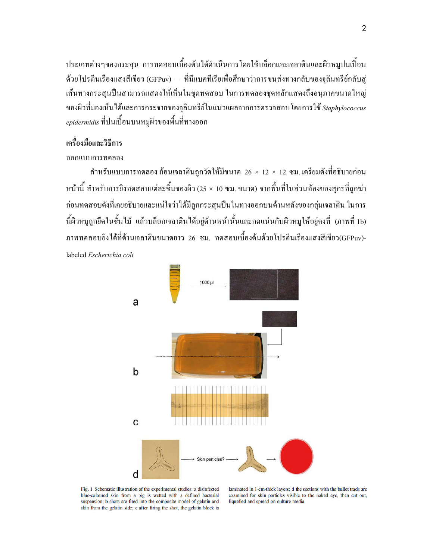ี ประเภทต่างๆของกระสน การทดสอบเบื้องต้นใด้ดำเนินการโดยใช้บล็อกและเจลาตินและผิวหมูปนเปื้อน ด้วยโปรตีนเรื่องแสงสีเขียว (GFPuv) – ที่มีแบคทีเรียเพื่อศึกษาว่าการขนส่งทางกลับของจุลินทรีย์กลับสู่ ้เส้นทางกระสุนปืนสามารถแสดงให้เห็นในชุดทดสอบ ในการทดลองชุดหลักแสดงถึงอนุภาคขนาดใหญ่ ของผิวที่มองเห็นได้และการกระจายของจุลินทรีย์ในแนวแผลจากการตรวจสอบโดยการใช้ Staphylococcus *epidermidis* ที่ปนเปื้อนบนหมูผิวของพื้นที่ทางออก

## เครื่องมือและวิธีการ

### ออกแบบการทดลอง

ี สำหรับแบบการทดลอง ก้อนเจลาตินถูกวัดให้มีขนาด 26  $\times$  12  $\times$  12 ซม. เตรียมดังที่อธิบายก่อน หน้านี้ สำหรับการยิงทดสอบแต่ละชิ้นของผิว (25 × 10 ซม. ขนาด) จากพื้นที่ในส่วนท้องของสกรที่ถกฆ่า ้ก่อนทดสอบดังที่เคยอธิบายและแน่ใจว่าได้มีลูกกระสุนปืนในทางออกบนด้านหลังของกลุ่มเจลาติน ในการ นี้ผิวหมูถูกยึดในชั้นไม้ แล้วบล็อกเจลาตินได้อยู่ด้านหน้านั้นและกดแน่นกับผิวหมูให้อยู่คงที่ (ภาพที่ 1b) ภาพทดสอบยิ่งได้ที่ด้านเจลาตินขนาดยาว 26 ซม. ทดสอบเบื้องต้นด้วยโปรตีนเรืองแสงสีเขียว(GFPuv)-

labeled Escherichia coli



Fig. 1 Schematic illustration of the experimental studies: a disinfected blue-coloured skin from a pig is wetted with a defined bacterial suspension; b shots are fired into the composite model of gelatin and skin from the gelatin side; c after firing the shot, the gelatin block is

laminated in 1-cm-thick layers; d the sections with the bullet track are examined for skin particles visible to the naked eye, then cut out, liquefied and spread on culture media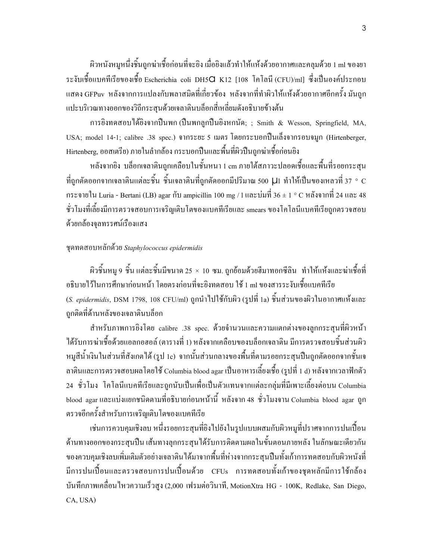ผิวหนังหมูหนึ่งชิ้นถูกฆ่าเชื้อก่อนที่จะยิง เมื่อยิงแล้วทำให้แห้งด้วยอากาศและคลุมด้วย 1 ml ของยา ระงับเชื้อแบคทีเรียของเชื้อ Escherichia coli DH5 $\mathsf C$  K12 [108 โคโลนี (CFU)/ml] ซึ่งเป็นองค์ประกอบ แสดง GFPuv หลังจากการแปลงกับพลาสมิดที่เกี่ยวข้อง หลังจากที่ทำผิวให้แห้งด้วยอากาศอีกครั้ง มันถูก แปะบริเวณทางออกของวิถีกระสุนค้วยเจลาตินบล็อกสี่เหลี่ยมคังอธิบายข้างต้น

การยิงทดสอบใด้ยิงจากปืนพก (ปืนพกลูกปืนยิงหกนัด; ; Smith & Wesson, Springfield, MA, USA; model 14-1; calibre .38 spec.) จากระยะ 5 เมตร โดยกระบอกปืนเลิ้งจากรอบจมูก (Hirtenberger, Hirtenberg, ออสเตรีย) ภายในลำกล้อง กระบอกปืนและพื้นที่ผิวปืนถูกฆ่าเชื้อก่อนยิง

หลังจากยิง บล็อกเจลาตินถูกเคลือบในชั้นหนา 1 cm ภายใต้สภาวะปลอดเชื้อและพื้นที่รอยกระสุน ที่ถูกตัดออกจากเจลาตินแต่ละชิ้น ชิ้นเจลาตินที่ถูกตัดออกมีปริมาณ 500  $\mu$ i ทำให้เป็นของเหลวที่ 37 ° C กระจายใน Luria - Bertani (LB) agar กับ ampicillin 100 mg / 1 และบ่มที่ 36 ± 1 ° C หลังจากที่ 24 และ 48 ชั่วโมงที่เลี้ยงมีการตรวจสอบการเจริญเติบโตของแบคทีเรียและ smears ของโคโลนีแบคทีเรียถูกตรวจสอบ ค้วยกล้องจุลทรรศน์เรื่องแสง

## ชดทดสอบหลักด้วย Staphylococcus epidermidis

ผิวชิ้นหมู 9 ชิ้น แต่ละชิ้นมีขนาด 25 × 10 ซม. ถูกย้อมด้วยฮีมาทอกซีลิน ทำให้แห้งและฆ่าเชื้อที่ อธิบายใว้ในการศึกษาก่อนหน้า โดยตรงก่อนที่จะยิงทดสอบ ใช้ 1 ml ของสารระงับเชื้อแบคทีเรีย (S. *epidermidis*, DSM 1798, 108 CFU/ml) ถูกนำไปใช้กับผิว (รูปที่ 1a) ชิ้นส่วนของผิวในอากาศแห้งและ ถูกติดที่ด้านหลังของเจลาตินบล็อก

สำหรับภาพการยิงโดย calibre .38 spec. ด้วยจำนวนและความแตกต่างของลูกกระสุนที่ผิวหน้า ได้รับการฆ่าเชื้อด้วยแอลกอฮอล์ (ตารางที่ 1) หลังจากเคลือบของบลือกเจลาติน มีการตรวจสอบชิ้นส่วนผิว หมูสีน้ำเงินในส่วนที่สังเกตได้ (รูป 1c) จากนั้นส่วนกลางของพื้นที่ตามรอยกระสุนปืนถูกตัดออกจากชั้นเจ ลาตินและการตรวจสอบผลโดยใช้ Columbia blood agar เป็นอาหารเลี้ยงเชื้อ (รูปที่ 1 d) หลังจากเวลาฟักตัว 24 ชั่วโมง โคโลนีแบคทีเรียและถูกนับเป็นเพื่อเป็นตัวแทนจากแต่ละกลุ่มที่มีเพาะเลี้ยงต่อบน Columbia blood agar และแบ่งแยกชนิดตามที่อธิบายก่อนหน้านี้ หลังจาก 48 ชั่วโมงจาน Columbia blood agar ถูก ตรวจอีกครั้งสำหรับการเจริญเติบโตของแบคทีเรีย

เช่นการควบคุมเชิงลบ หนึ่งรอยกระสุนที่ยิงไปยังในรูปแบบผสมกับผิวหมูที่ปราศจากการปนเปื้อน ด้านทางออกของกระสุนปืน เส้นทางลุกกระสุนได้รับการติดตามผลในขั้นตอนภายหลัง ในลักษณะเดียวกัน ของควบคุมเชิงลบเพิ่มเติมตัวอย่างเจลาติน ได้มาจากพื้นที่ห่างจากกระสุนปืนทั้งเก้าการทดสอบกับผิวหนังที่ มีการปนเปื้อนและตรวจสอบการปนเปื้อนด้วย CFUs การทดสอบทั้งเก้าของชุดหลักมีการใช้กล้อง บันทึกภาพเคลื่อนไหวความเร็วสูง (2,000 เฟรมต่อวินาที, MotionXtra HG - 100K, Redlake, San Diego, CA, USA)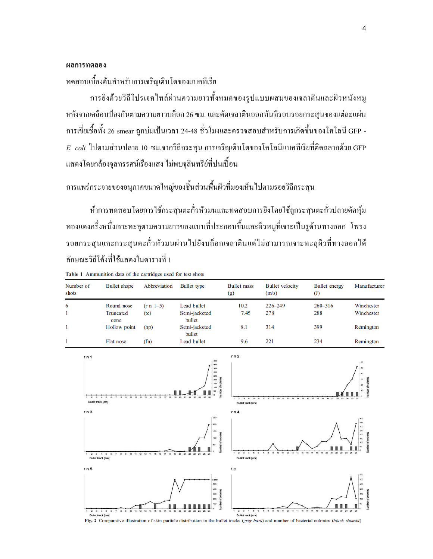#### ผลการทดลอง

ทคสอบเบื้องต้นสำหรับการเจริญเติบโตของแบคทีเรีย

Table 1 Ammunition data of the cartridges used for test shots

ึการยิงด้วยวิถีโปรเจคไทล์ผ่านความยาวทั้งหมดของรูปแบบผสมของเจลาตินและผิวหนังหมู หลังจากเคลื่อบป้องกันตามความยาวบลื่อก 26 ซม. และตัดเจลาตินออกทันทีรอบรอยกระสุนของแต่ละแผ่น การเขี่ยเชื้อทั้ง 26 smear ถูกบ่มเป้นเวลา 24-48 ชั่วโมงและตรวจสอบสำหรับการเกิดขึ้นของโคโลนี GFP - $E. \ coli$  ไปตามส่วนปลาย 10 ซม.จากวิถีกระสุน การเจริญเติบโตของโคโลนีแบคทีเรียที่ติดฉลากด้วย GFP ้ แสดงโดยกล้องจุลทรรศน์เรื่องแสง ไม่พบจุลินทรีย์ที่ปนเปื้อน

ึการแพร่กระจายของอนุภาคขนาดใหญ่ของชิ้นส่วนพื้นผิวที่มองเห็นไปตามรอยวิถีกระสุน

ห้าการทดสอบโดยการใช้กระสนตะกั่วหัวมนและทดสอบการยิงโดยใช้ลกระสนตะกั่วปลายตัดห้ม ทองแคงครึ่งหนึ่งเจาะทะลุตามความยาวของแบบที่ประกอบขึ้นและผิวหมูที่เจาะเป็นรูด้านทางออก โพรง รอยกระสุนและกระสุนตะกั่วหัวมนผ่านไปยังบล็อกเจลาตินแต่ไม่สามารถเจาะทะลุผิวที่ทางออกได้ ้ลักษณะวิถีโค้งที่ใช้แสดงในตารางที่ 1

| Number of<br>shots | <b>Bullet</b> shape | Abbreviation | Bullet type             | <b>Bullet</b> mass<br>$\left( g\right)$ | <b>Bullet</b> velocity<br>(m/s) | Bullet energy<br>$\left( \mathrm{J}\right)$ | Manufacturer |
|--------------------|---------------------|--------------|-------------------------|-----------------------------------------|---------------------------------|---------------------------------------------|--------------|
| 6                  | Round nose          | $(r n 1-5)$  | Lead bullet             | 10.2                                    | $226 - 249$                     | $260 - 316$                                 | Winchester   |
|                    | Truncated<br>cone   | (tc)         | Semi-jacketed<br>bullet | 7.45                                    | 278                             | 288                                         | Winchester   |
|                    | Hollow point        | (hp)         | Semi-jacketed<br>bullet | 8.1                                     | 314                             | 399                                         | Remington    |
|                    | Flat nose           | (fn)         | Lead bullet             | 9.6                                     | 221                             | 234                                         | Remington    |



 $\overline{\mathcal{A}}$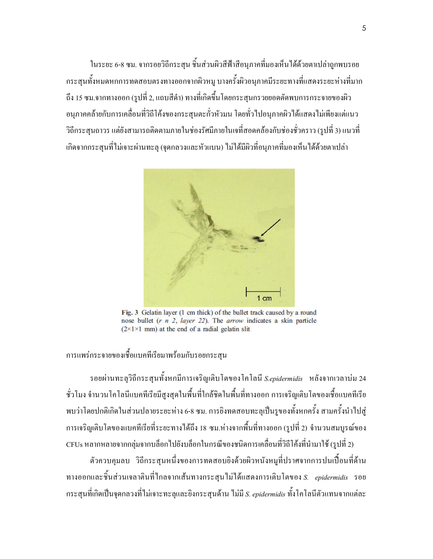ในระยะ 6-8 ซม. จากรอยวิถีกระสน ชิ้นส่วนผิวสีฟ้าสื่อนุภาคที่มองเห็นได้ด้วยตาเปล่าถูกพบรอย ึกระสนทั้งหมดหกการทดสอบตรงทางออกจากผิวหม บางครั้งผิวอนภาคมีระยะทางที่แสดงระยะห่างที่มาก ถึง 15 ซม.จากทางออก (รปที่ 2. แถบสีดำ) ทางที่เกิดขึ้นโดยกระสนกรวยยอดตัดพบการกระจายของผิว ้อนภาคคล้ายกับการเคลื่อนที่วิถีโค้งของกระสนตะกั่วหัวมน โดยทั่วไปอนุภาคผิวได้แสดงไม่เพียงแต่แนว ้วิถีกระสนถาวร แต่ยังสามารถติดตามภายในช่องรัศมีภายในเจที่สอดคล้องกับช่องชั่วคราว (รูปที่ 3) แนวที่ เกิดจากกระสุนที่ไม่เจาะผ่านทะลุ (จุดกลวงและหัวแบน) ไม่ได้มีผิวที่อนุภาคที่มองเห็นได้ด้วยตาเปล่า



Fig. 3 Gelatin layer (1 cm thick) of the bullet track caused by a round nose bullet  $(r, n, 2, layer, 22)$ . The *arrow* indicates a skin particle  $(2 \times 1 \times 1$  mm) at the end of a radial gelatin slit

ิการแพร่กระจายของเชื้อแบคทีเรียมาพร้อมกับรอยกระส*ุ*น

รอยผ่านทะลุวิถีกระสุนทั้งหกมีการเจริญเติบโตของโคโลนี S.epidermidis หลังจากเวลาบ่ม 24 ์ ชั่วโมง จำนวนโคโลนีแบคทีเรียมีสูงสุดในพื้นที่ใกล้ชิดในพื้นที่ทางออก การเจริญเติบโตของเชื้อแบคทีเรีย พบว่าโดยปกติเกิดในส่วนปลายระยะห่าง 6-8 ซม. การยิงทดสอบทะลุเป็นรูของทั้งหกครั้ง สามครั้งนำไปสู่ ึการเจริญเติบโตของแบคทีเรียที่ระยะทางใด้ถึง 18 ซม.ห่างจากพื้นที่ทางออก (รูปที่ 2) จำนวนสมบูรณ์ของ CFUs หลากหลายจากกลุ่มจากบล็อกไปยังบล็อกในกรณีของชนิดการเคลื่อนที่วิถีโค้งที่นำมาใช้ (รูปที่ 2)

้ตัวควบคมลบ วิถีกระสนหนึ่งของการทดสอบยิงด้วยผิวหนังหมที่ปราศจากการปนเปื้อนที่ด้าน ทางออกและชิ้นส่วนเจลาตินที่ไกลจากเส้นทางกระสุนไม่ได้แสดงการเติบโตของ S. epidermidis รอย ี กระสนที่เกิดเป็นจดกลวงที่ไม่เจาะทะลและยิงกระสนด้าน ไม่มี *S. epidermidis* ทั้งโคโลนีตัวแทนจากแต่ละ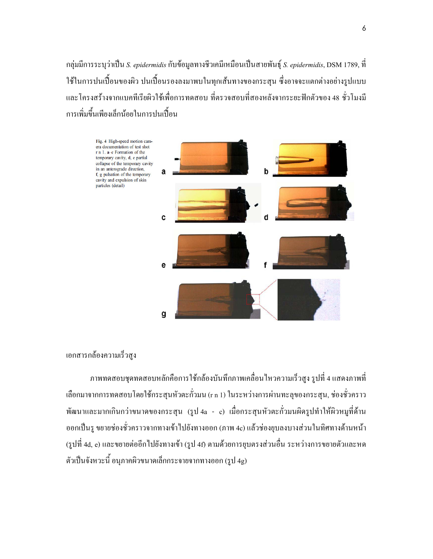ึกลุ่มมีการระบุว่าเป็น *S. epidermidis* กับข้อมูลทางชีวเคมีเหมือนเป็นสายพันธุ์ *S. epidermidis*, DSM 1789, ที่ ใช้ในการปนเปื้อนของผิว ปนเปื้อนรองลงมาพบในทุกเส้นทางของกระสุน ซึ่งอาจจะแตกต่างอย่างรูปแบบ และโครงสร้างจากแบคทีเรียผิวใช้เพื่อการทดสอบ ที่ตรวจสอบที่สองหลังจากระยะฟักตัวของ 48 ชั่วโมงมี การเพิ่มขึ้นเพียงเล็กน้อยในการปนเปื้อน



## เอกสารกล้องความเร็วสูง

ิภาพทดสอบชุดทดสอบหลักคือการใช้กล้องบันทึกภาพเคลื่อนใหวความเร็วสูง รูปที่ 4 แสดงภาพที่ เลือกมาจากการทดสอบโดยใช้กระสุนหัวตะกั่วมน (r n 1) ในระหว่างการผ่านทะลุของกระสุน, ช่องชั่วคราว พัฒนาและมากเกินกว่าขนาคของกระสุน (รูป 4a - c) เมื่อกระสุนหัวตะกั่วมนผิดรูปทำให้ผิวหมูที่ด้าน ืออกเป็นรู ขยายช่องชั่วคราวจากทางเข้าไปยังทางออก (ภาพ 4c) แล้วช่องยุบลงบางส่วนในทิศทางด้านหน้า (รูปที่ 4d, e) และขยายต่ออีกไปยังทางเข้า (รูป 4f) ตามด้วยการยุบตรงส่วนอื่น ระหว่างการขยายตัวและหด ตัวเป็นจังหวะนี้ อนุภาคผิวขนาดเล็กกระจายจากทางออก (รูป 4g)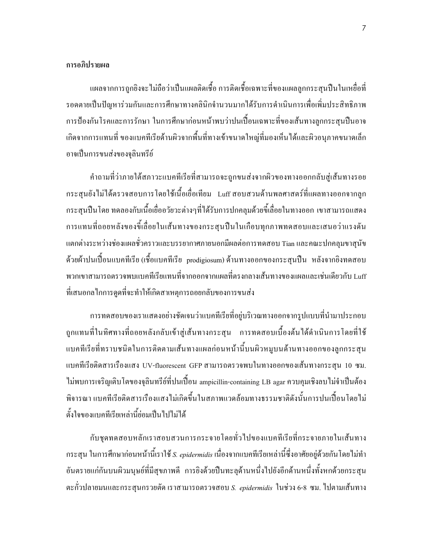## การอภิปรายผล

แผลจากการถูกยิงจะ ไม่ถือว่าเป็นแผลติดเชื้อ การติดเชื้อเฉพาะที่ของแผลลูกกระสุนปืนในเหยื่อที่ รอดตายเป็นปัญหาร่วมกันและการศึกษาทางคลินิกจำนวนมากใด้รับการดำเนินการเพื่อเพิ่มประสิทธิภาพ การป้องกันโรคและการรักษา ในการศึกษาก่อนหน้าพบว่าปนเปื้อนเฉพาะที่ของเส้นทางลูกกระสุนปืนอาจ ้เกิดจากการแทนที่ ของแบคทีเรียด้านผิวจากพื้นที่ทางเข้าขนาดใหญ่ที่มองเห็นได้และผิวอนุภาคขนาดเล็ก อาจเป็นการขนส่งของจลินทรีย์

้คำถามที่ว่าภายใต้สภาวะแบคทีเรียที่สามารถจะถูกขนส่งจากผิวของทางออกกลับสู่เส้นทางรอย กระสุนยังไม่ได้ตรวจสอบการโดยใช้เนื้อเชื่อเทียม Luffสอบสวนด้านพลศาสตร์ที่แผลทางออกจากลูก ึกระสนปืนโดย ทดลองกับเนื้อเยื่ออวัยวะต่างๆที่ได้รับการปกคลมด้วยขี้เลื่อยในทางออก เขาสามารถแสดง การแทนที่ถอยหลังของขี้เลื่อยในเส้นทางของกระสุนปืนในเกือบทุกภาพทดสอบและเสนอว่าแรงคัน แตกต่างระหว่างช่องแผลชั่วคราวและบรรยากาศภายนอกมีผลต่อการทดสอบ Tian และคณะปกคลุมขาสุนัข ด้วยผ้าปนเปื้อนแบคทีเรีย (เชื้อแบคทีเรีย prodigiosum) ด้านทางออกของกระสุนปืน หลังจากยิงทดสอบ พวกเขาสามารถตรวจพบแบคทีเรียแทนที่จากออกจากแผลที่ตรงกลางเส้นทางของแผลและเช่นเดียวกับ Luff ที่เสนอกลไกการดูดที่จะทำให้เกิดสาเหตุการถอยกลับของการขนส่ง

้การทดสอบของเราแสดงอย่างชัดเจนว่าแบคทีเรียที่อยู่บริเวณทางออกจากรูปแบบที่นำมาประกอบ ถูกแทนที่ในทิศทางที่ถอยหลังกลับเข้าสู่เส้นทางกระสุน การทดสอบเบื้องต้นได้ดำเนินการโดยที่ใช้ แบคทีเรียที่ทราบชนิดในการติดตามเส้นทางแผลก่อนหน้านี้บนผิวหมูบนด้านทางออกของลูกกระสุน แบคทีเรียติดสารเรื่องแสง UV-fluorescent GFP สามารถตรวจพบในทางออกของเส้นทางกระสน 10 ซม. ไม่พบการเจริญเติบโตของจุลินทรีย์ที่ปนเปื้อน ampicillin-containing LB agar ควบคุมเชิงลบไม่จำเป็นต้อง พิจารณา แบคทีเรียติดสารเรื่องแสงไม่เกิดขึ้นในสภาพแวดล้อมทางธรรมชาติดังนั้นการปนเปื้อนโดยไม่ ตั้งใจของแบคทีเรียเหล่านี้ย่อมเป็นไปไม่ได้

กับชุดทดสอบหลักเราสอบสวนการกระจายโดยทั่วไปของแบคทีเรียที่กระจายภายในเส้นทาง ึกระสุน ในการศึกษาก่อนหน้านี้เราใช้ *S. epidermidis* เนื่องจากแบคทีเรียเหล่านี้ซึ่งอาศัยอยู่ด้วยกันโดยไม่ทำ อันตรายแก่กันบนผิวมนุษย์ที่มีสุขภาพดี การยิงด้วยปืนทะลุด้านหนึ่งไปยังอีกด้านหนึ่งทั้งหกด้วยกระสุน ตะกั่วปลายมนและกระสุนกรวยตัด เราสามารถตรวจสอบ *S. epidermidis* ในช่วง 6-8 ซม. ไปตามเส้นทาง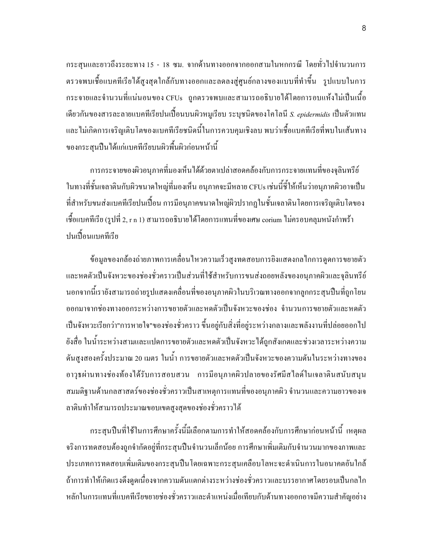ึกระสุนและยาวถึงระยะทาง 15 - 18 ซม. จากด้านทางออกจากออกสามในหกกรณี โดยทั่วไปจำนวนการ ตรวจพบเชื้อแบคทีเรียได้สูงสุดใกล้กับทางออกและลดลงสู่ศูนย์กลางของแบบที่ทำขึ้น รูปแบบในการ ิกระจายและจำนวนที่แน่นอนของ CFUs ถกตรวจพบและสามารถอธิบายได้โดยการอบแห้งไม่เป็นเนื้อ ้เคียวกันของสารละลายแบคทีเรียปนเปื้อนบนผิวหมูเรียบ ระบุชนิคของโคโลนี *S. epidermidis* เป็นตัวแทน และไม่เกิดการเจริญเติบโตของแบคทีเรียชนิดนี้ในการควบคุมเชิงลบ พบว่าเชื้อแบคทีเรียที่พบในเส้นทาง ของกระสุนปืนใด้แก่แบคทีเรียบนผิวพื้นผิวก่อนหน้านี้

ึการกระจายของผิวอนุภาคที่มองเห็นได้ด้วยตาเปล่าสอดคล้องกับการกระจายแทนที่ของจุลินทรีย์ ในทางที่ชั้นเจลาตินกับผิวขนาดใหญ่ที่มองเห็น อนุภาคจะมีหลาย CFUs เช่นนี้ชี้ให้เห็นว่าอนุภาคผิวอาจเป็น ที่สำหรับขนส่งแบคทีเรียปนเปื้อน การมือนุภาคขนาดใหญ่ผิวปรากฏในชั้นเจลาตินโดยการเจริญเติบโตของ เชื้อแบคทีเรีย (รูปที่ 2, r n 1) สามารถอธิบายใด้โดยการแทนที่ของเศษ corium ใม่ครอบคลุมหนังกำพร้า ปนเปื้อนแบคทีเรีย

ข้อมูลของกล้องถ่ายภาพการเคลื่อนใหวความเร็วสูงทดสอบการยิงแสดงกลไกการดูดการขยายตัว และหดตัวเป็นจังหวะของช่องชั่วคราวเป็นส่วนที่ใช้สำหรับการขนส่งถอยหลังของอนุภาคผิวและจุลินทรีย์ นอกจากนี้เรายังสามารถถ่ายรูปแสดงเคลื่อนที่ของอนุภาคผิวในบริเวณทางออกจากลูกกระสุนปืนที่ถูกโยน ้ออกมาจากช่องทางออกระหว่างการขยายตัวและหดตัวเป็นจังหวะของช่อง จำนวนการขยายตัวและหดตัว เป็นจังหวะเรียกว่า"การหายใจ"ของช่องชั่วคราว ขึ้นอยู่กับสิ่งที่อยู่ระหว่างกลางและพลังงานที่ปล่อยออกไป ยังสื่อ ในน้ำระหว่างสามและแปดการขยายตัวและหดตัวเป็นจังหวะได้ถูกสังเกตและช่วงเวลาระหว่างความ ดันสูงสองครั้งประมาณ 20 เมตร ในน้ำ การขยายตัวและหดตัวเป็นจังหวะของความดันในระหว่างทางของ อาวุธผ่านทางช่องท้องได้รับการสอบสวน การมือนุภาคผิวปลายของรัศมีสไลด์ในเจลาตินสนับสนุน ี่ สมมติฐานด้านกลสาสตร์ของช่องชั่วคราวเป็นสาเหตุการแทนที่ของอนุภาคผิว จำนวนและความยาวของเจ ลาตินทำให้สามารถประมาณขอบเขตสูงสุคของช่องชั่วคราวได้

กระสุนปืนที่ใช้ในการศึกษาครั้งนี้มีเลือกตามการทำให้สอดคล้องกับการศึกษาก่อนหน้านี้ เหตุผล จริงการทดสอบต้องถูกจำกัดอยู่ที่กระสนปืนจำนวนเล็กน้อย การศึกษาเพิ่มเติมกับจำนวนมากของภาพและ ้ ประเภทการทดสอบเพิ่มเติมของกระสนปืนโดยเฉพาะกระสนเคลือบโลหะจะดำเนินการในอนาคตอันใกล้ ถ้าการทำให้เกิดแรงดึงดูดเนื่องจากความดันแตกต่างระหว่างช่องชั่วคราวและบรรยากาศโดยรอบเป็นกลไก หลักในการแทนที่แบคทีเรียขยายช่องชั่วคราวและตำแหน่งเมื่อเทียบกับค้านทางออกอาจมีความสำคัญอย่าง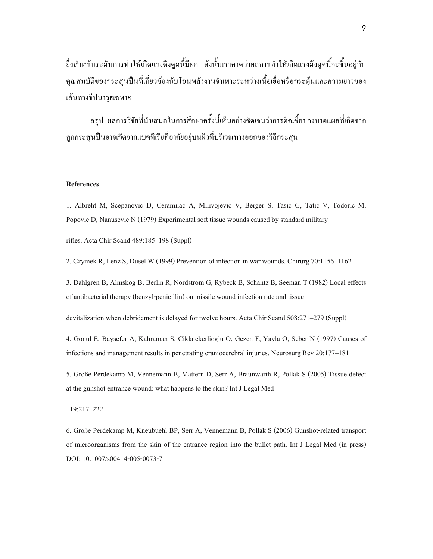ยิ่งสำหรับระดับการทำให้เกิดแรงดึงดูดนี้มีผล ดังนั้นเราคาดว่าผลการทำให้เกิดแรงดึงดูดนี้จะขึ้นอยู่กับ กุณสมบัติของกระสุนปืนที่เกี่ยวข้องกับโอนพลังงานจำเพาะระหว่างเนื้อเยื่อหรือกระตุ้นและความยาวของ เส้นทางขีปนาวุธเฉพาะ

สรุป ผลการวิจัยที่นำเสนอในการศึกษาครั้งนี้เห็นอย่างชัดเจนว่าการติดเชื้อของบาดแผลที่เกิดจาก ลูกกระสุนปืนอาจเกิดจากแบคทีเรียที่อาศัยอยู่บนผิวที่บริเวณทางออกของวิถีกระสุน

#### References

1. Albreht M, Scepanovic D, Ceramilac A, Milivojevic V, Berger S, Tasic G, Tatic V, Todoric M, Popovic D, Nanusevic N (1979) Experimental soft tissue wounds caused by standard military

rifles. Acta Chir Scand 489:185-198 (Suppl)

2. Czymek R, Lenz S, Dusel W (1999) Prevention of infection in war wounds. Chirurg 70:1156-1162

3. Dahlgren B, Almskog B, Berlin R, Nordstrom G, Rybeck B, Schantz B, Seeman T (1982) Local effects of antibacterial therapy (benzyl-penicillin) on missile wound infection rate and tissue

devitalization when debridement is delayed for twelve hours. Acta Chir Scand 508:271-279 (Suppl)

4. Gonul E, Baysefer A, Kahraman S, Ciklatekerlioglu O, Gezen F, Yayla O, Seber N (1997) Causes of infections and management results in penetrating craniocerebral injuries. Neurosurg Rev 20:177-181

5. Große Perdekamp M, Vennemann B, Mattern D, Serr A, Braunwarth R, Pollak S (2005) Tissue defect at the gunshot entrance wound: what happens to the skin? Int J Legal Med

#### 119:217-222

6. Große Perdekamp M, Kneubuehl BP, Serr A, Vennemann B, Pollak S (2006) Gunshot-related transport of microorganisms from the skin of the entrance region into the bullet path. Int J Legal Med (in press) DOI: 10.1007/s00414-005-0073-7